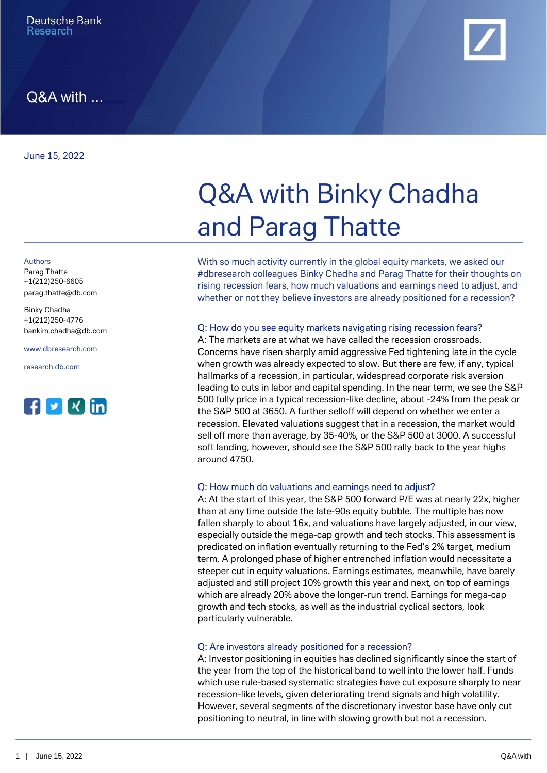June 15, 2022

Authors

Parag Thatte +1(212)250-6605 [parag.thatte@db.com](mailto:parag.thatte@db.com)

Binky Chadha +1(212)250-4776 [bankim.chadha@db.com](mailto:bankim.chadha@db.com)

[www.dbresearch.com](https://www.dbresearch.com)

[research.db.com](https://research.db.com)





With so much activity currently in the global equity markets, we asked our #dbresearch colleagues Binky Chadha and Parag Thatte for their thoughts on rising recession fears, how much valuations and earnings need to adjust, and whether or not they believe investors are already positioned for a recession?

## Q: How do you see equity markets navigating rising recession fears?

A: The markets are at what we have called the recession crossroads. Concerns have risen sharply amid aggressive Fed tightening late in the cycle when growth was already expected to slow. But there are few, if any, typical hallmarks of a recession, in particular, widespread corporate risk aversion leading to cuts in labor and capital spending. In the near term, we see the S&P 500 fully price in a typical recession-like decline, about -24% from the peak or the S&P 500 at 3650. A further selloff will depend on whether we enter a recession. Elevated valuations suggest that in a recession, the market would sell off more than average, by 35-40%, or the S&P 500 at 3000. A successful soft landing, however, should see the S&P 500 rally back to the year highs around 4750.

## Q: How much do valuations and earnings need to adjust?

A: At the start of this year, the S&P 500 forward P/E was at nearly 22x, higher than at any time outside the late-90s equity bubble. The multiple has now fallen sharply to about 16x, and valuations have largely adjusted, in our view, especially outside the mega-cap growth and tech stocks. This assessment is predicated on inflation eventually returning to the Fed's 2% target, medium term. A prolonged phase of higher entrenched inflation would necessitate a steeper cut in equity valuations. Earnings estimates, meanwhile, have barely adjusted and still project 10% growth this year and next, on top of earnings which are already 20% above the longer-run trend. Earnings for mega-cap growth and tech stocks, as well as the industrial cyclical sectors, look particularly vulnerable.

#### Q: Are investors already positioned for a recession?

A: Investor positioning in equities has declined significantly since the start of the year from the top of the historical band to well into the lower half. Funds which use rule-based systematic strategies have cut exposure sharply to near recession-like levels, given deteriorating trend signals and high volatility. However, several segments of the discretionary investor base have only cut positioning to neutral, in line with slowing growth but not a recession.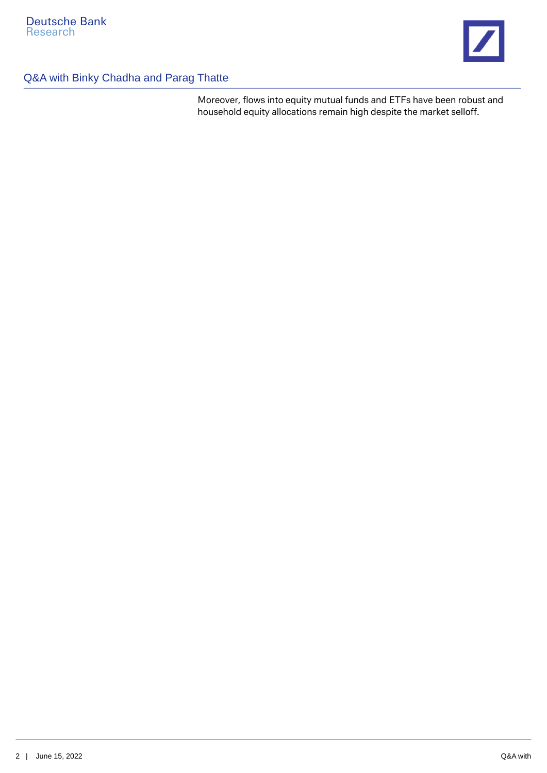

# Q&A with Binky Chadha and Parag Thatte

Moreover, flows into equity mutual funds and ETFs have been robust and household equity allocations remain high despite the market selloff.